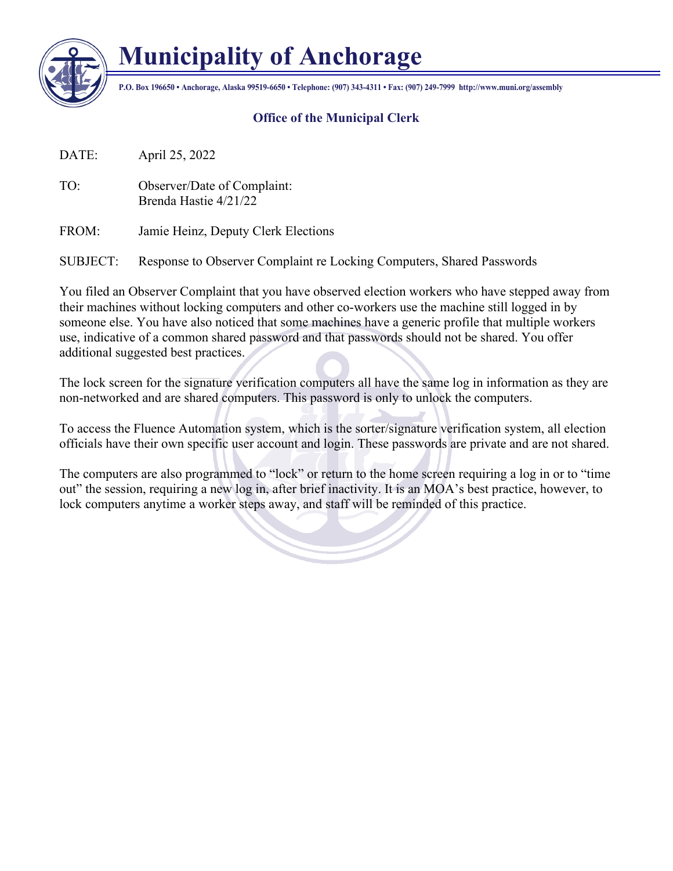

## **Municipality of Anchorage**

**P.O. Box 196650 • Anchorage, Alaska 99519-6650 • Telephone: (907) 343-4311 • Fax: (907) 249-7999 http://www.muni.org/assembly**

## **Office of the Municipal Clerk**

DATE: April 25, 2022

TO: Observer/Date of Complaint: Brenda Hastie 4/21/22

FROM: Jamie Heinz, Deputy Clerk Elections

SUBJECT: Response to Observer Complaint re Locking Computers, Shared Passwords

You filed an Observer Complaint that you have observed election workers who have stepped away from their machines without locking computers and other co-workers use the machine still logged in by someone else. You have also noticed that some machines have a generic profile that multiple workers use, indicative of a common shared password and that passwords should not be shared. You offer additional suggested best practices.

The lock screen for the signature verification computers all have the same log in information as they are non-networked and are shared computers. This password is only to unlock the computers.

To access the Fluence Automation system, which is the sorter/signature verification system, all election officials have their own specific user account and login. These passwords are private and are not shared.

The computers are also programmed to "lock" or return to the home screen requiring a log in or to "time out" the session, requiring a new log in, after brief inactivity. It is an MOA's best practice, however, to lock computers anytime a worker steps away, and staff will be reminded of this practice.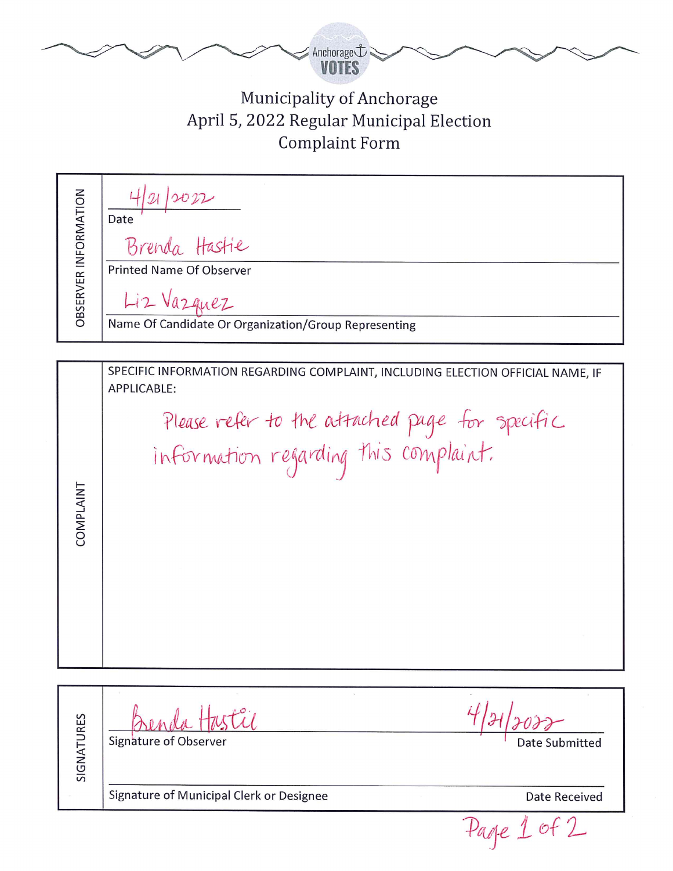

## Municipality of Anchorage April 5, 2022 Regular Municipal Election **Complaint Form**

| OBSERVER INFORMATION | Date<br>Brenda Hastie                                |
|----------------------|------------------------------------------------------|
|                      | <b>Printed Name Of Observer</b>                      |
|                      | Liz Vazquez                                          |
|                      | Name Of Candidate Or Organization/Group Representing |

SPECIFIC INFORMATION REGARDING COMPLAINT, INCLUDING ELECTION OFFICIAL NAME, IF APPLICABLE:

COMPLAINT

Please refer to the attached page for specific information regarding this complaint.

SIGNATURES Signature of Observer Date Submitted Signature of Municipal Clerk or Designee Date Received

Page 1 of 2